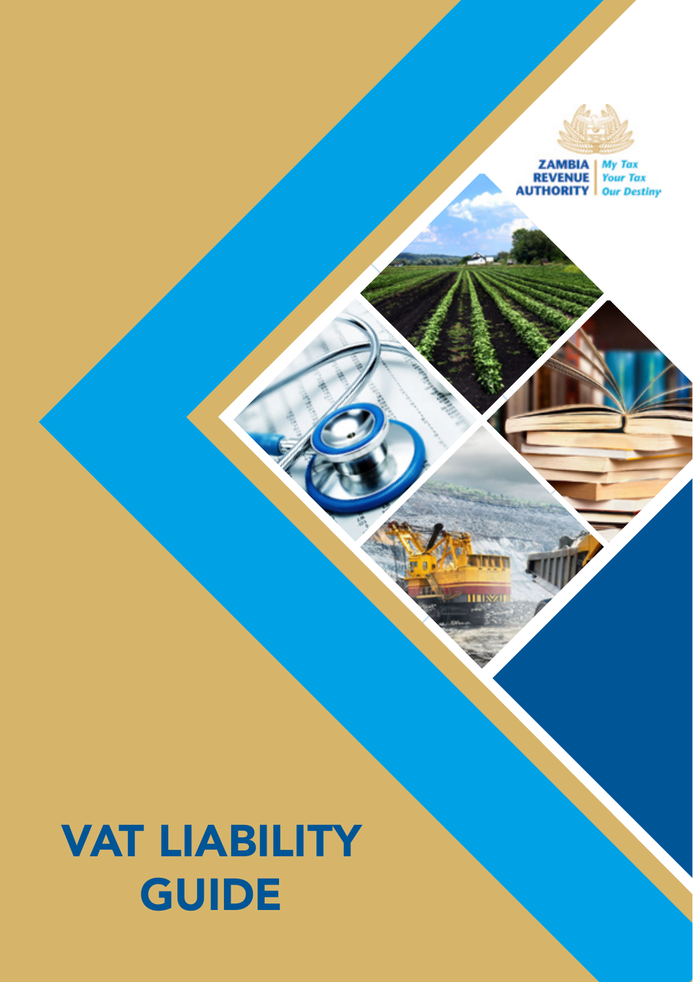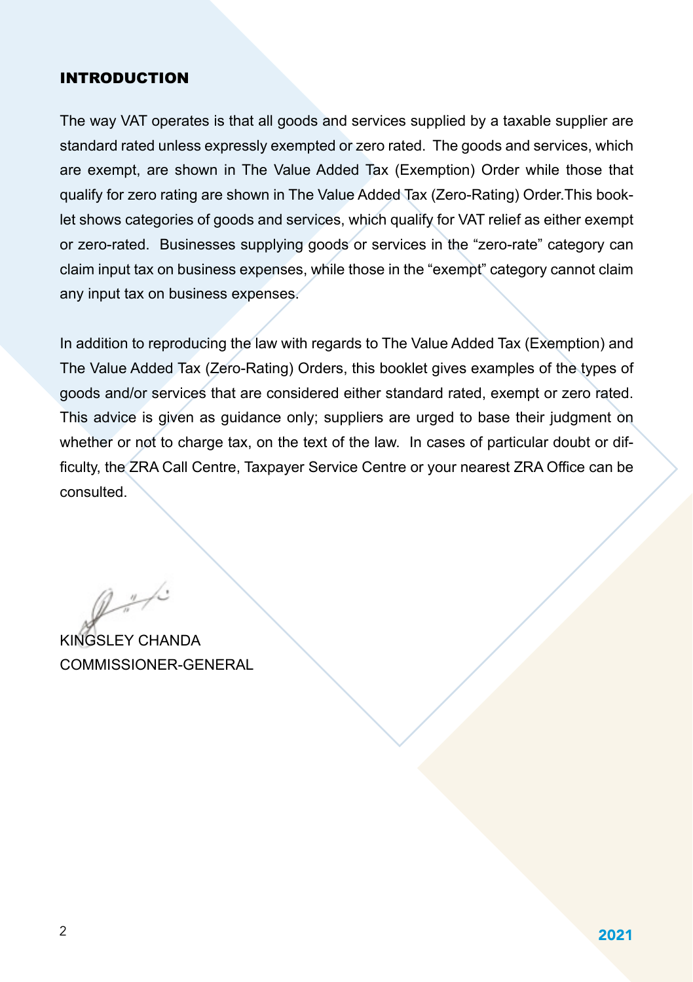#### INTRODUCTION

The way VAT operates is that all goods and services supplied by a taxable supplier are standard rated unless expressly exempted or zero rated. The goods and services, which are exempt, are shown in The Value Added Tax (Exemption) Order while those that qualify for zero rating are shown in The Value Added Tax (Zero-Rating) Order.This booklet shows categories of goods and services, which qualify for VAT relief as either exempt or zero-rated. Businesses supplying goods or services in the "zero-rate" category can claim input tax on business expenses, while those in the "exempt" category cannot claim any input tax on business expenses.

In addition to reproducing the law with regards to The Value Added Tax (Exemption) and The Value Added Tax (Zero-Rating) Orders, this booklet gives examples of the types of goods and/or services that are considered either standard rated, exempt or zero rated. This advice is given as guidance only; suppliers are urged to base their judgment on whether or not to charge tax, on the text of the law. In cases of particular doubt or difficulty, the ZRA Call Centre, Taxpayer Service Centre or your nearest ZRA Office can be consulted.

 $2 - 1$ 

KINGSLEY CHANDA COMMISSIONER-GENERAL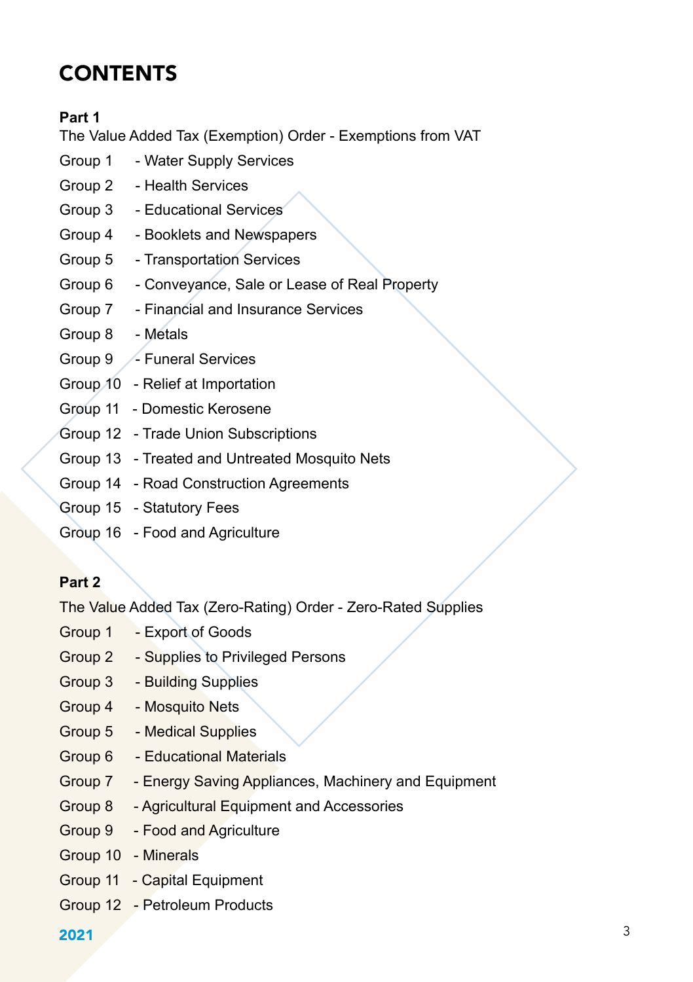# **CONTENTS**

## **Part 1**

The Value Added Tax (Exemption) Order - Exemptions from VAT

- Group 1 Water Supply Services
- Group 2 Health Services
- Group 3 Educational Services
- Group 4 Booklets and Newspapers
- Group 5 Transportation Services
- Group 6 Conveyance, Sale or Lease of Real Property
- Group 7 Financial and Insurance Services
- Group 8 Metals
- Group 9 /- Funeral Services
- Group 10 Relief at Importation
- Group 11 Domestic Kerosene
- Group 12 Trade Union Subscriptions
- Group 13 Treated and Untreated Mosquito Nets
- Group 14 Road Construction Agreements
- Group 15 Statutory Fees
- Group 16 Food and Agriculture

## **Part 2**

The Value Added Tax (Zero-Rating) Order - Zero-Rated Supplies

- Group 1 Export of Goods
- Group 2 Supplies to Privileged Persons
- Group 3 Building Supplies
- Group 4 Mosquito Nets
- Group 5 Medical Supplies
- Group 6 Educational Materials
- Group 7 Energy Saving Appliances, Machinery and Equipment
- Group 8 Agricultural Equipment and Accessories
- Group 9 Food and Agriculture
- Group 10 Minerals
- Group 11 Capital Equipment
- Group 12 Petroleum Products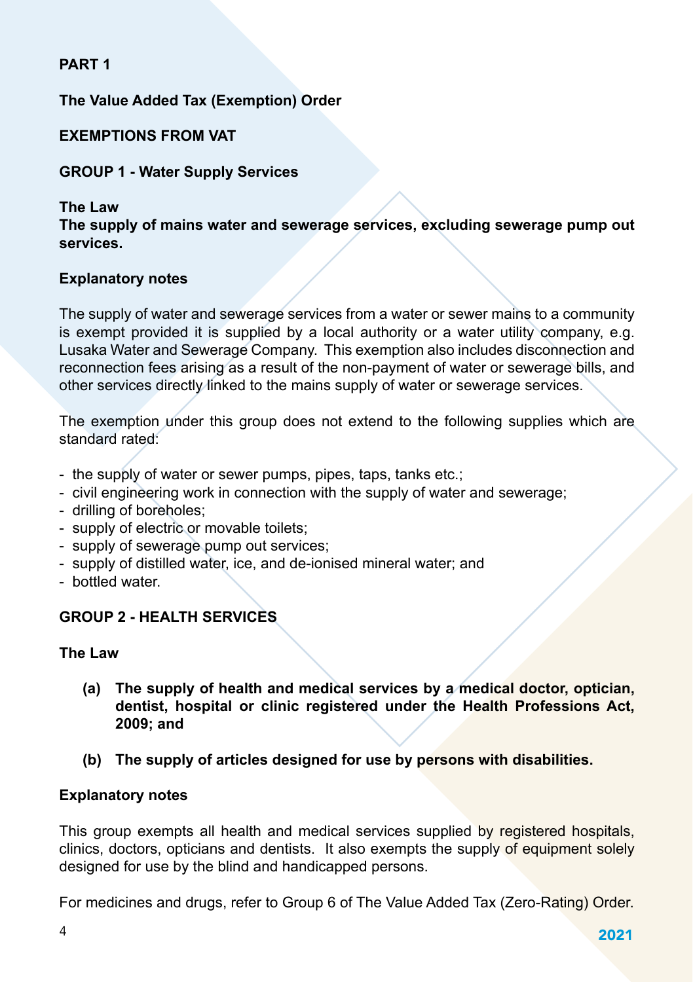### **PART 1**

## **The Value Added Tax (Exemption) Order**

### **EXEMPTIONS FROM VAT**

#### **GROUP 1 - Water Supply Services**

#### **The Law**

**The supply of mains water and sewerage services, excluding sewerage pump out services.**

#### **Explanatory notes**

The supply of water and sewerage services from a water or sewer mains to a community is exempt provided it is supplied by a local authority or a water utility company, e.g. Lusaka Water and Sewerage Company. This exemption also includes disconnection and reconnection fees arising as a result of the non-payment of water or sewerage bills, and other services directly linked to the mains supply of water or sewerage services.

The exemption under this group does not extend to the following supplies which are standard rated:

- the supply of water or sewer pumps, pipes, taps, tanks etc.;
- civil engineering work in connection with the supply of water and sewerage;
- drilling of boreholes;
- supply of electric or movable toilets;
- supply of sewerage pump out services;
- supply of distilled water, ice, and de-ionised mineral water; and
- bottled water.

### **GROUP 2 - HEALTH SERVICES**

#### **The Law**

- **(a) The supply of health and medical services by a medical doctor, optician, dentist, hospital or clinic registered under the Health Professions Act, 2009; and**
- **(b) The supply of articles designed for use by persons with disabilities.**

#### **Explanatory notes**

This group exempts all health and medical services supplied by registered hospitals, clinics, doctors, opticians and dentists. It also exempts the supply of equipment solely designed for use by the blind and handicapped persons.

For medicines and drugs, refer to Group 6 of The Value Added Tax (Zero-Rating) Order.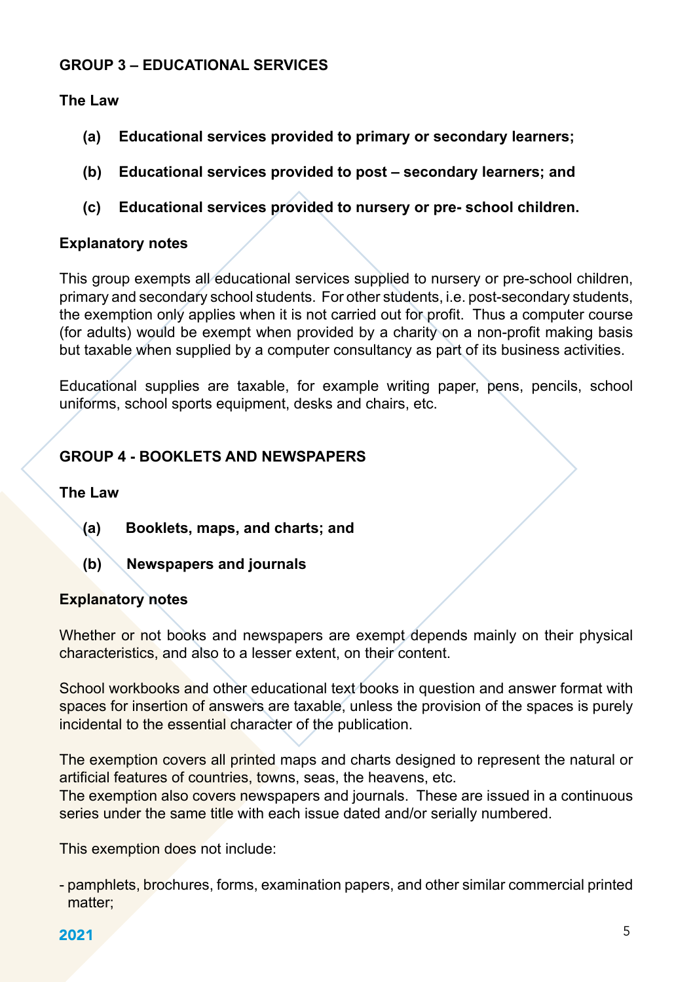#### **GROUP 3 – EDUCATIONAL SERVICES**

#### **The Law**

- **(a) Educational services provided to primary or secondary learners;**
- **(b) Educational services provided to post secondary learners; and**
- **(c) Educational services provided to nursery or pre- school children.**

#### **Explanatory notes**

This group exempts all educational services supplied to nursery or pre-school children, primary and secondary school students. For other students, i.e. post-secondary students, the exemption only applies when it is not carried out for profit. Thus a computer course (for adults) would be exempt when provided by a charity on a non-profit making basis but taxable when supplied by a computer consultancy as part of its business activities.

Educational supplies are taxable, for example writing paper, pens, pencils, school uniforms, school sports equipment, desks and chairs, etc.

## **GROUP 4 - BOOKLETS AND NEWSPAPERS**

#### **The Law**

- **(a) Booklets, maps, and charts; and**
- **(b) Newspapers and journals**

#### **Explanatory notes**

Whether or not books and newspapers are exempt depends mainly on their physical characteristics, and also to a lesser extent, on their content.

School workbooks and other educational text books in question and answer format with spaces for insertion of answers are taxable, unless the provision of the spaces is purely incidental to the essential character of the publication.

The exemption covers all printed maps and charts designed to represent the natural or artificial features of countries, towns, seas, the heavens, etc.

The exemption also covers newspapers and journals. These are issued in a continuous series under the same title with each issue dated and/or serially numbered.

This exemption does not include:

- pamphlets, brochures, forms, examination papers, and other similar commercial printed matter;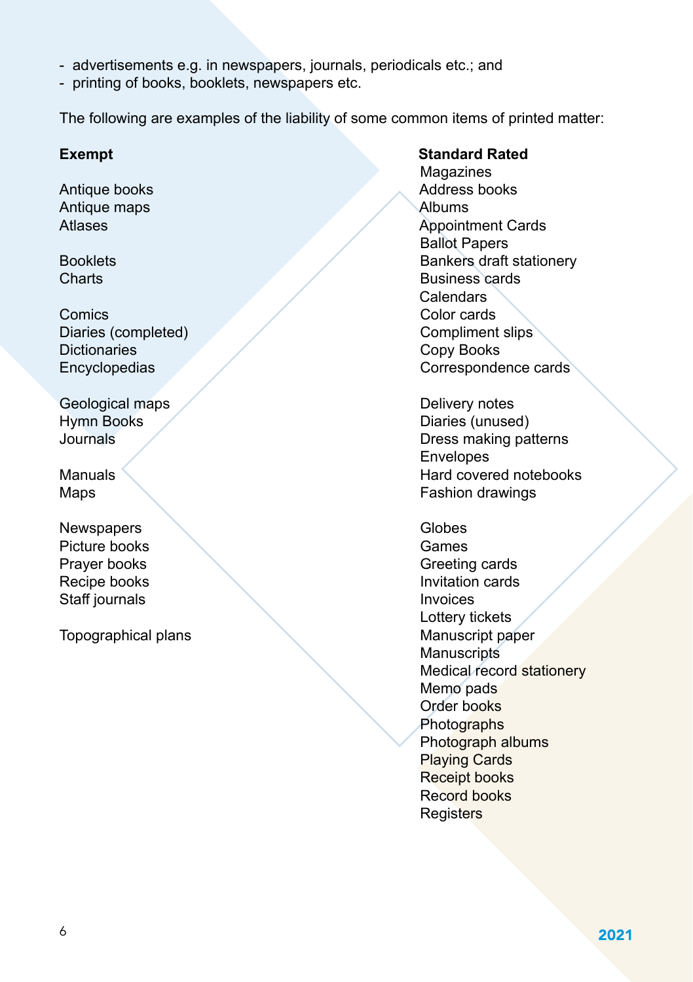- advertisements e.g. in newspapers, journals, periodicals etc.; and
- printing of books, booklets, newspapers etc.

The following are examples of the liability of some common items of printed matter:

Antique maps<br>Atlases

Comics Color cards Diaries (completed) Compliment slips<br>
Dictionaries Copy Books Dictionaries Copy Books<br>
Encyclopedias Corresponde

Geological maps **Contract Contract Contract Contract Contract Contract Contract Contract Contract Contract Contract Contract Contract Contract Contract Contract Contract Contract Contract Contract Contract Contract Contrac** 

Newspapers **Newspapers** Globes Picture books and the Cames Games Staff journals **Invoices** 

Topographical plans Manuscript paper

**Exempt** Standard Rated **Magazines** Antique books **Address books** Address books Antique mans Appointment Cards Ballot Papers Booklets **Booklets** Bankers draft stationery **Charts** Business cards Calendars Correspondence cards

Hymn Books<br>
Diaries (unused)<br>
Diaries (unused)<br>
Diaries making pair Dress making patterns Envelopes<br>Manuals Hard cover Hard covered notebooks Maps **Maps Fashion drawings** 

Prayer books **Greeting cards** Recipe books **Invitation cards**  Lottery tickets **Manuscripts** Medical record stationery Memo pads Order books **Photographs**  Photograph albums Playing Cards Receipt books Record books **Registers**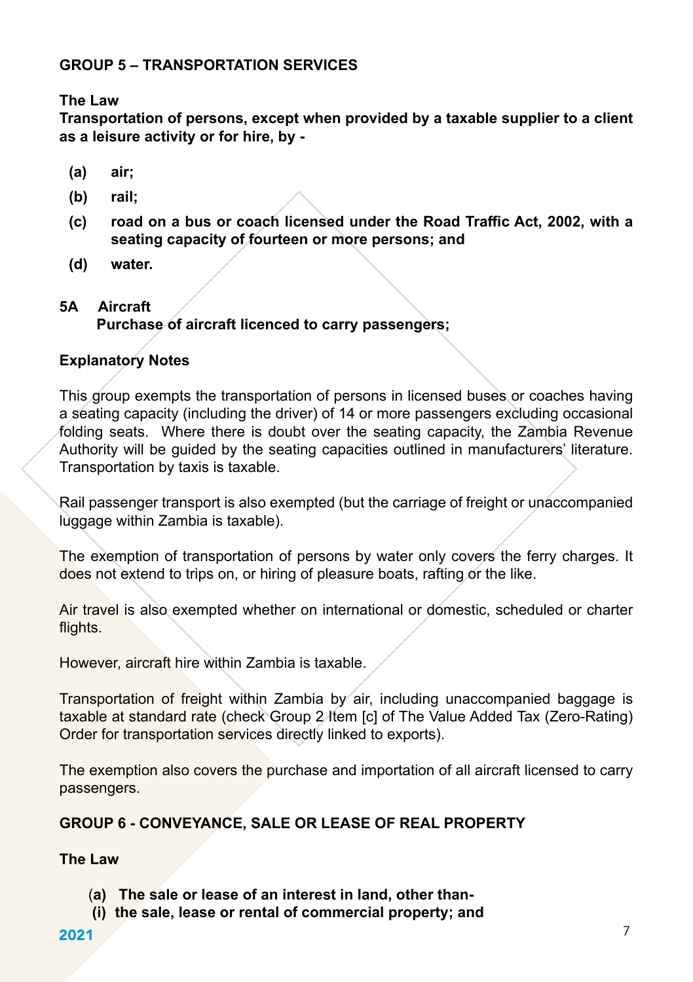## **GROUP 5 – TRANSPORTATION SERVICES**

**The Law** 

**Transportation of persons, except when provided by a taxable supplier to a client as a leisure activity or for hire, by -**

- **(a) air;**
- **(b) rail;**
- **(c) road on a bus or coach licensed under the Road Traffic Act, 2002, with a seating capacity of fourteen or more persons; and**
- **(d) water.**

## **5A Aircraft**

## **Purchase of aircraft licenced to carry passengers;**

## **Explanatory Notes**

This group exempts the transportation of persons in licensed buses or coaches having a seating capacity (including the driver) of 14 or more passengers excluding occasional folding seats. Where there is doubt over the seating capacity, the Zambia Revenue Authority will be guided by the seating capacities outlined in manufacturers' literature. Transportation by taxis is taxable.

Rail passenger transport is also exempted (but the carriage of freight or unaccompanied luggage within Zambia is taxable).

The exemption of transportation of persons by water only covers the ferry charges. It does not extend to trips on, or hiring of pleasure boats, rafting or the like.

Air travel is also exempted whether on international or domestic, scheduled or charter flights.

However, aircraft hire within Zambia is taxable.

Transportation of freight within Zambia by air, including unaccompanied baggage is taxable at standard rate (check Group 2 Item [c] of The Value Added Tax (Zero-Rating) Order for transportation services directly linked to exports).

The exemption also covers the purchase and importation of all aircraft licensed to carry passengers.

## **GROUP 6 - CONVEYANCE, SALE OR LEASE OF REAL PROPERTY**

### **The Law**

- (**a) The sale or lease of an interest in land, other than-**
- **(i) the sale, lease or rental of commercial property; and**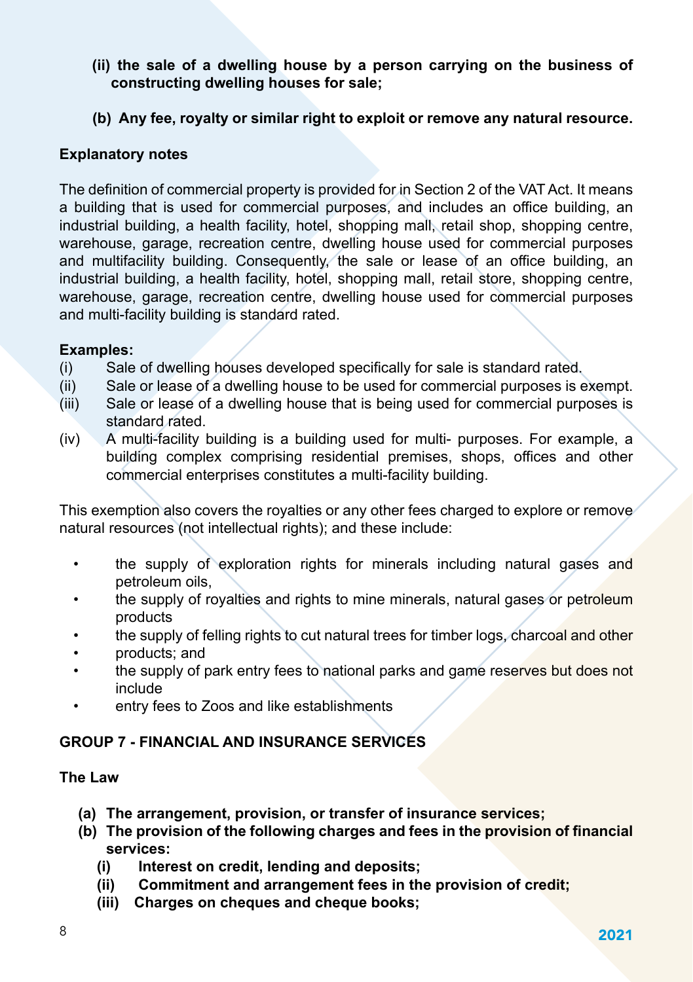- **(ii) the sale of a dwelling house by a person carrying on the business of constructing dwelling houses for sale;**
- **(b) Any fee, royalty or similar right to exploit or remove any natural resource.**

## **Explanatory notes**

The definition of commercial property is provided for in Section 2 of the VAT Act. It means a building that is used for commercial purposes, and includes an office building, an industrial building, a health facility, hotel, shopping mall, retail shop, shopping centre, warehouse, garage, recreation centre, dwelling house used for commercial purposes and multifacility building. Consequently, the sale or lease of an office building, an industrial building, a health facility, hotel, shopping mall, retail store, shopping centre, warehouse, garage, recreation centre, dwelling house used for commercial purposes and multi-facility building is standard rated.

#### **Examples:**

- (i) Sale of dwelling houses developed specifically for sale is standard rated.
- (ii) Sale or lease of a dwelling house to be used for commercial purposes is exempt.
- (iii) Sale or lease of a dwelling house that is being used for commercial purposes is standard rated.
- (iv) A multi-facility building is a building used for multi- purposes. For example, a building complex comprising residential premises, shops, offices and other commercial enterprises constitutes a multi-facility building.

This exemption also covers the royalties or any other fees charged to explore or remove natural resources (not intellectual rights); and these include:

- the supply of exploration rights for minerals including natural gases and petroleum oils,
- the supply of royalties and rights to mine minerals, natural gases or petroleum products
- the supply of felling rights to cut natural trees for timber logs, charcoal and other
- products; and
- the supply of park entry fees to national parks and game reserves but does not include
- entry fees to Zoos and like establishments

## **GROUP 7 - FINANCIAL AND INSURANCE SERVICES**

### **The Law**

- **(a) The arrangement, provision, or transfer of insurance services;**
- **(b) The provision of the following charges and fees in the provision of financial services:**
	- **(i) Interest on credit, lending and deposits;**
	- **(ii) Commitment and arrangement fees in the provision of credit;**
	- **(iii) Charges on cheques and cheque books;**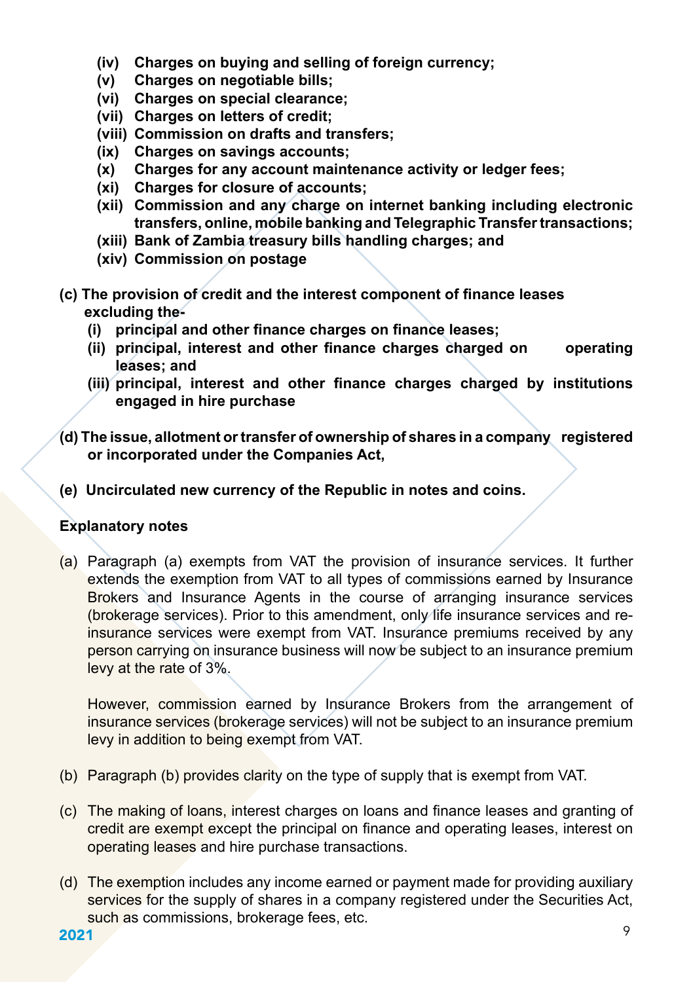- **(iv) Charges on buying and selling of foreign currency;**
- **(v) Charges on negotiable bills;**
- **(vi) Charges on special clearance;**
- **(vii) Charges on letters of credit;**
- **(viii) Commission on drafts and transfers;**
- **(ix) Charges on savings accounts;**
- **(x) Charges for any account maintenance activity or ledger fees;**
- **(xi) Charges for closure of accounts;**
- **(xii) Commission and any charge on internet banking including electronic transfers, online, mobile banking and Telegraphic Transfer transactions;**
- **(xiii) Bank of Zambia treasury bills handling charges; and**
- **(xiv) Commission on postage**
- **(c) The provision of credit and the interest component of finance leases excluding the-**
	- **(i) principal and other finance charges on finance leases;**
	- **(ii) principal, interest and other finance charges charged on operating leases; and**
	- **(iii) principal, interest and other finance charges charged by institutions engaged in hire purchase**
- **(d) The issue, allotment or transfer of ownership of shares in a company registered or incorporated under the Companies Act,**
- **(e) Uncirculated new currency of the Republic in notes and coins.**

### **Explanatory notes**

(a) Paragraph (a) exempts from VAT the provision of insurance services. It further extends the exemption from VAT to all types of commissions earned by Insurance Brokers and Insurance Agents in the course of arranging insurance services (brokerage services). Prior to this amendment, only life insurance services and reinsurance services were exempt from VAT. Insurance premiums received by any person carrying on insurance business will now be subject to an insurance premium levy at the rate of 3%.

However, commission earned by Insurance Brokers from the arrangement of insurance services (brokerage services) will not be subject to an insurance premium levy in addition to being exempt from VAT.

- (b) Paragraph (b) provides clarity on the type of supply that is exempt from VAT.
- (c) The making of loans, interest charges on loans and finance leases and granting of credit are exempt except the principal on finance and operating leases, interest on operating leases and hire purchase transactions.
- (d) The exemption includes any income earned or payment made for providing auxiliary services for the supply of shares in a company registered under the Securities Act, such as commissions, brokerage fees, etc.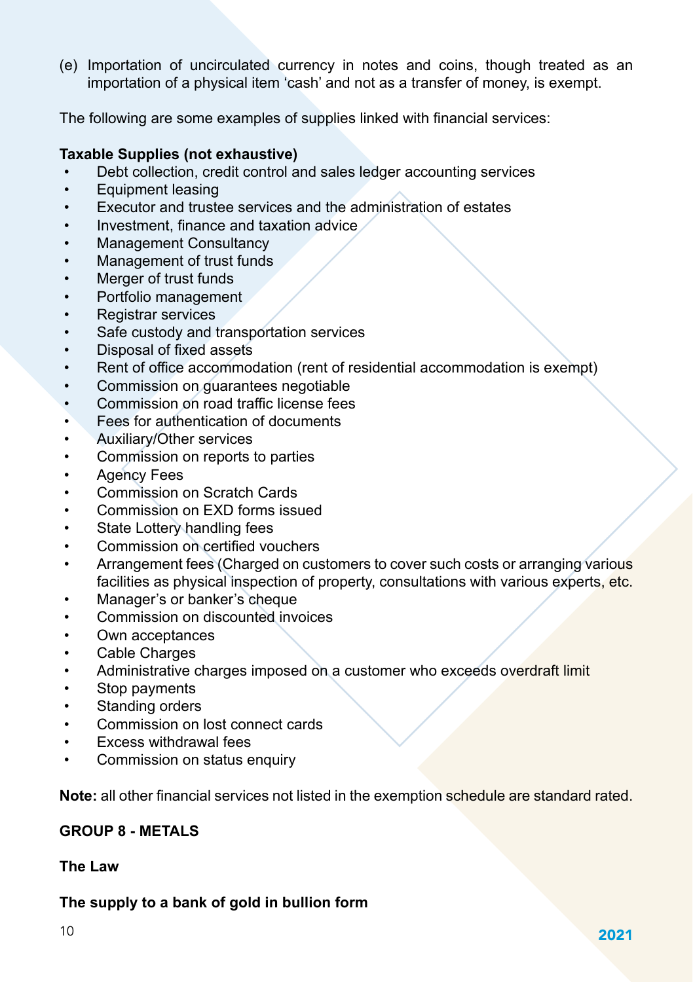(e) Importation of uncirculated currency in notes and coins, though treated as an importation of a physical item 'cash' and not as a transfer of money, is exempt.

The following are some examples of supplies linked with financial services:

#### **Taxable Supplies (not exhaustive)**

- Debt collection, credit control and sales ledger accounting services
- Equipment leasing
- Executor and trustee services and the administration of estates
- Investment, finance and taxation advice
- Management Consultancy
- Management of trust funds
- Merger of trust funds
- Portfolio management
- Registrar services
- Safe custody and transportation services
- Disposal of fixed assets
- Rent of office accommodation (rent of residential accommodation is exempt)
- Commission on guarantees negotiable
- Commission on road traffic license fees
- Fees for authentication of documents
- Auxiliary/Other services
- Commission on reports to parties
- Agency Fees
- Commission on Scratch Cards
- Commission on EXD forms issued
- State Lottery handling fees
- Commission on certified vouchers
- Arrangement fees (Charged on customers to cover such costs or arranging various facilities as physical inspection of property, consultations with various experts, etc.
- Manager's or banker's cheque
- Commission on discounted invoices
- Own acceptances
- Cable Charges
- Administrative charges imposed on a customer who exceeds overdraft limit
- Stop payments
- Standing orders
- Commission on lost connect cards
- Excess withdrawal fees
- Commission on status enquiry

**Note:** all other financial services not listed in the exemption schedule are standard rated.

## **GROUP 8 - METALS**

#### **The Law**

### **The supply to a bank of gold in bullion form**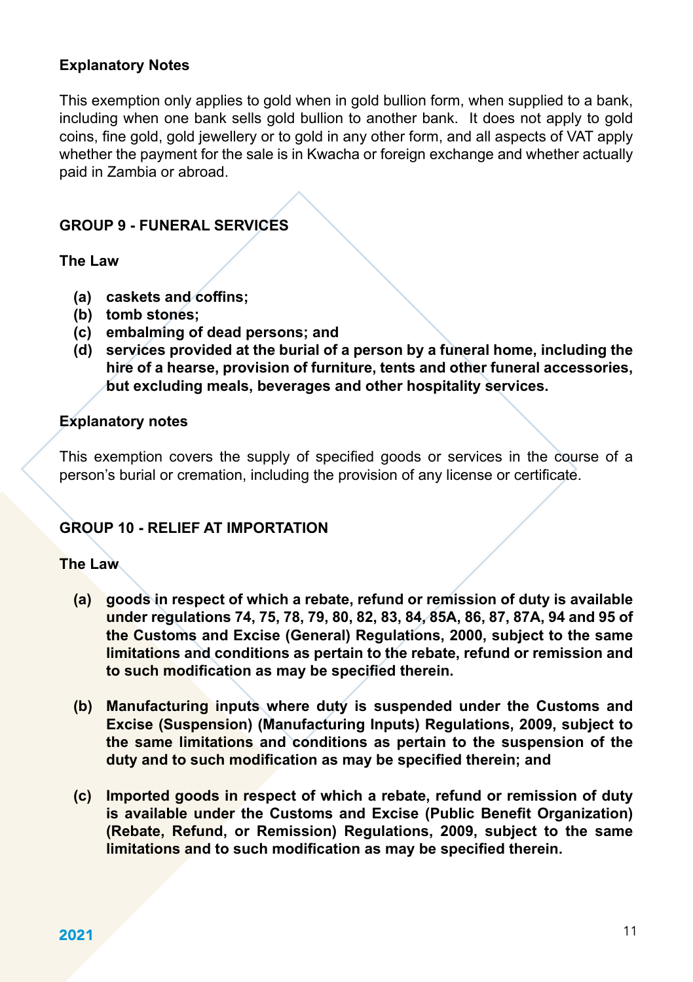## **Explanatory Notes**

This exemption only applies to gold when in gold bullion form, when supplied to a bank, including when one bank sells gold bullion to another bank. It does not apply to gold coins, fine gold, gold jewellery or to gold in any other form, and all aspects of VAT apply whether the payment for the sale is in Kwacha or foreign exchange and whether actually paid in Zambia or abroad.

## **GROUP 9 - FUNERAL SERVICES**

**The Law**

- **(a) caskets and coffins;**
- **(b) tomb stones;**
- **(c) embalming of dead persons; and**
- **(d) services provided at the burial of a person by a funeral home, including the hire of a hearse, provision of furniture, tents and other funeral accessories, but excluding meals, beverages and other hospitality services.**

#### **Explanatory notes**

This exemption covers the supply of specified goods or services in the course of a person's burial or cremation, including the provision of any license or certificate.

## **GROUP 10 - RELIEF AT IMPORTATION**

#### **The Law**

- **(a) goods in respect of which a rebate, refund or remission of duty is available under regulations 74, 75, 78, 79, 80, 82, 83, 84, 85A, 86, 87, 87A, 94 and 95 of the Customs and Excise (General) Regulations, 2000, subject to the same limitations and conditions as pertain to the rebate, refund or remission and to such modification as may be specified therein.**
- **(b) Manufacturing inputs where duty is suspended under the Customs and Excise (Suspension) (Manufacturing Inputs) Regulations, 2009, subject to the same limitations and conditions as pertain to the suspension of the duty and to such modification as may be specified therein; and**
- **(c) Imported goods in respect of which a rebate, refund or remission of duty is available under the Customs and Excise (Public Benefit Organization) (Rebate, Refund, or Remission) Regulations, 2009, subject to the same limitations and to such modification as may be specified therein.**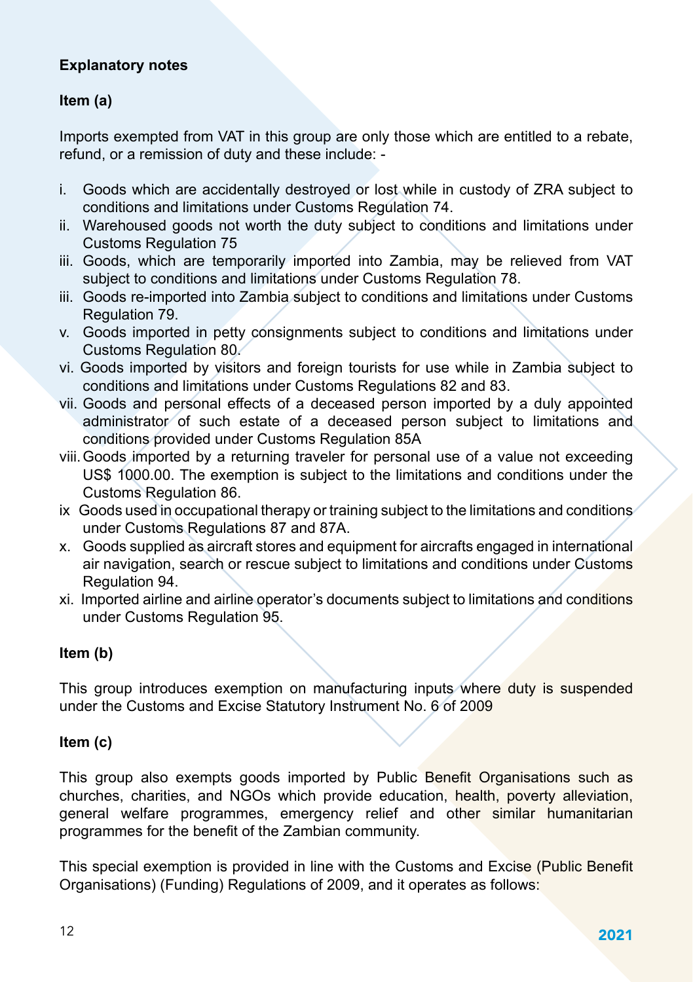## **Explanatory notes**

## **Item (a)**

Imports exempted from VAT in this group are only those which are entitled to a rebate, refund, or a remission of duty and these include: -

- i. Goods which are accidentally destroyed or lost while in custody of ZRA subject to conditions and limitations under Customs Regulation 74.
- ii. Warehoused goods not worth the duty subject to conditions and limitations under Customs Regulation 75
- iii. Goods, which are temporarily imported into Zambia, may be relieved from VAT subject to conditions and limitations under Customs Regulation 78.
- iii. Goods re-imported into Zambia subject to conditions and limitations under Customs Regulation 79.
- v. Goods imported in petty consignments subject to conditions and limitations under Customs Regulation 80.
- vi. Goods imported by visitors and foreign tourists for use while in Zambia subject to conditions and limitations under Customs Regulations 82 and 83.
- vii. Goods and personal effects of a deceased person imported by a duly appointed administrator of such estate of a deceased person subject to limitations and conditions provided under Customs Regulation 85A
- viii.Goods imported by a returning traveler for personal use of a value not exceeding US\$ 1000.00. The exemption is subject to the limitations and conditions under the Customs Regulation 86.
- ix Goods used in occupational therapy or training subject to the limitations and conditions under Customs Regulations 87 and 87A.
- x. Goods supplied as aircraft stores and equipment for aircrafts engaged in international air navigation, search or rescue subject to limitations and conditions under Customs Regulation 94.
- xi. Imported airline and airline operator's documents subject to limitations and conditions under Customs Regulation 95.

## **Item (b)**

This group introduces exemption on manufacturing inputs where duty is suspended under the Customs and Excise Statutory Instrument No. 6 of 2009

### **Item (c)**

This group also exempts goods imported by Public Benefit Organisations such as churches, charities, and NGOs which provide education, health, poverty alleviation, general welfare programmes, emergency relief and other similar humanitarian programmes for the benefit of the Zambian community.

This special exemption is provided in line with the Customs and Excise (Public Benefit Organisations) (Funding) Regulations of 2009, and it operates as follows: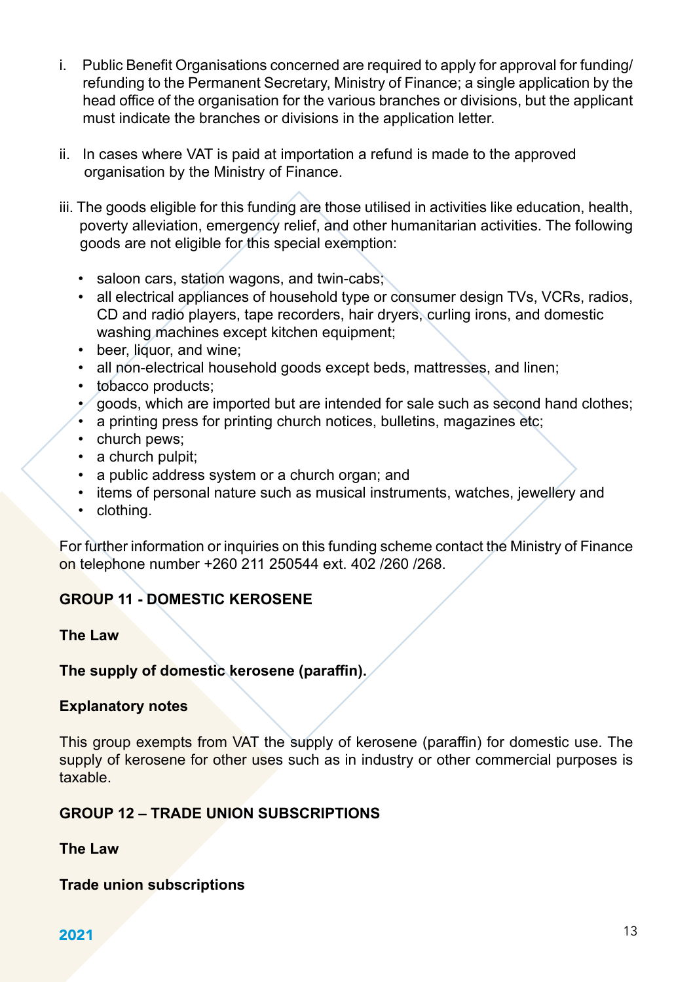- i. Public Benefit Organisations concerned are required to apply for approval for funding/ refunding to the Permanent Secretary, Ministry of Finance; a single application by the head office of the organisation for the various branches or divisions, but the applicant must indicate the branches or divisions in the application letter.
- ii. In cases where VAT is paid at importation a refund is made to the approved organisation by the Ministry of Finance.
- iii. The goods eligible for this funding are those utilised in activities like education, health, poverty alleviation, emergency relief, and other humanitarian activities. The following goods are not eligible for this special exemption:
	- saloon cars, station wagons, and twin-cabs;
	- all electrical appliances of household type or consumer design TVs, VCRs, radios, CD and radio players, tape recorders, hair dryers, curling irons, and domestic washing machines except kitchen equipment;
	- beer, liquor, and wine;
	- all non-electrical household goods except beds, mattresses, and linen;
	- tobacco products;
	- goods, which are imported but are intended for sale such as second hand clothes;
	- a printing press for printing church notices, bulletins, magazines etc;
	- church pews;
	- a church pulpit:
	- a public address system or a church organ; and
	- items of personal nature such as musical instruments, watches, jewellery and
	- clothing.

For further information or inquiries on this funding scheme contact the Ministry of Finance on telephone number +260 211 250544 ext. 402 /260 /268.

## **GROUP 11 - DOMESTIC KEROSENE**

#### **The Law**

## **The supply of domestic kerosene (paraffin).**

#### **Explanatory notes**

This group exempts from VAT the supply of kerosene (paraffin) for domestic use. The supply of kerosene for other uses such as in industry or other commercial purposes is taxable.

## **GROUP 12 – TRADE UNION SUBSCRIPTIONS**

**The Law**

### **Trade union subscriptions**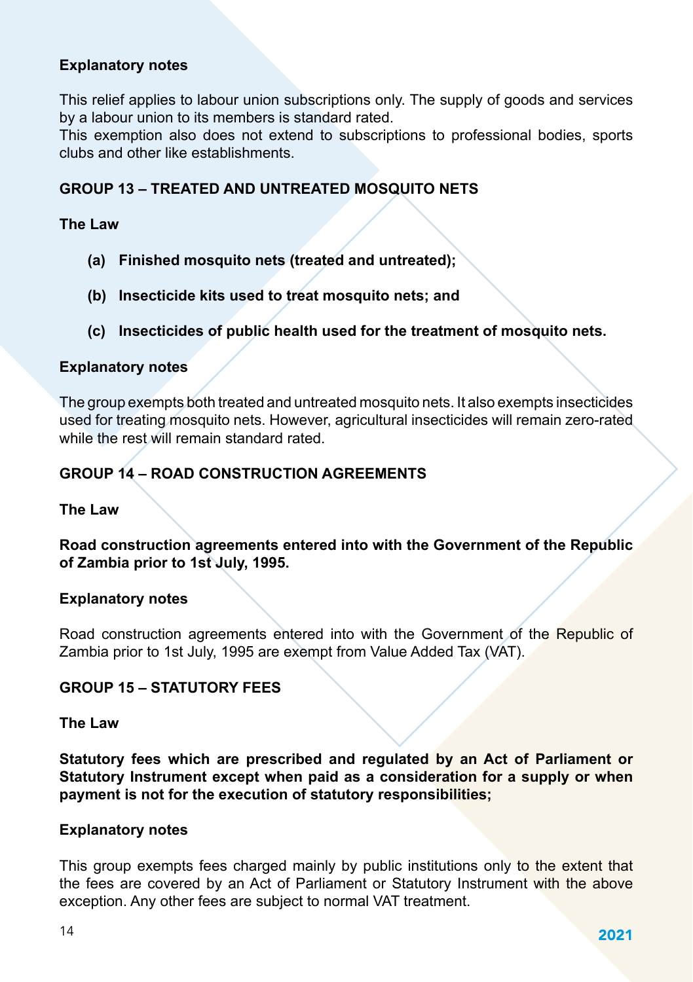#### **Explanatory notes**

This relief applies to labour union subscriptions only. The supply of goods and services by a labour union to its members is standard rated.

This exemption also does not extend to subscriptions to professional bodies, sports clubs and other like establishments.

#### **GROUP 13 – TREATED AND UNTREATED MOSQUITO NETS**

#### **The Law**

- **(a) Finished mosquito nets (treated and untreated);**
- **(b) Insecticide kits used to treat mosquito nets; and**
- **(c) Insecticides of public health used for the treatment of mosquito nets.**

#### **Explanatory notes**

The group exempts both treated and untreated mosquito nets. It also exempts insecticides used for treating mosquito nets. However, agricultural insecticides will remain zero-rated while the rest will remain standard rated.

### **GROUP 14 – ROAD CONSTRUCTION AGREEMENTS**

#### **The Law**

**Road construction agreements entered into with the Government of the Republic of Zambia prior to 1st July, 1995.**

#### **Explanatory notes**

Road construction agreements entered into with the Government of the Republic of Zambia prior to 1st July, 1995 are exempt from Value Added Tax (VAT).

#### **GROUP 15 – STATUTORY FEES**

#### **The Law**

**Statutory fees which are prescribed and regulated by an Act of Parliament or Statutory Instrument except when paid as a consideration for a supply or when payment is not for the execution of statutory responsibilities;**

#### **Explanatory notes**

This group exempts fees charged mainly by public institutions only to the extent that the fees are covered by an Act of Parliament or Statutory Instrument with the above exception. Any other fees are subject to normal VAT treatment.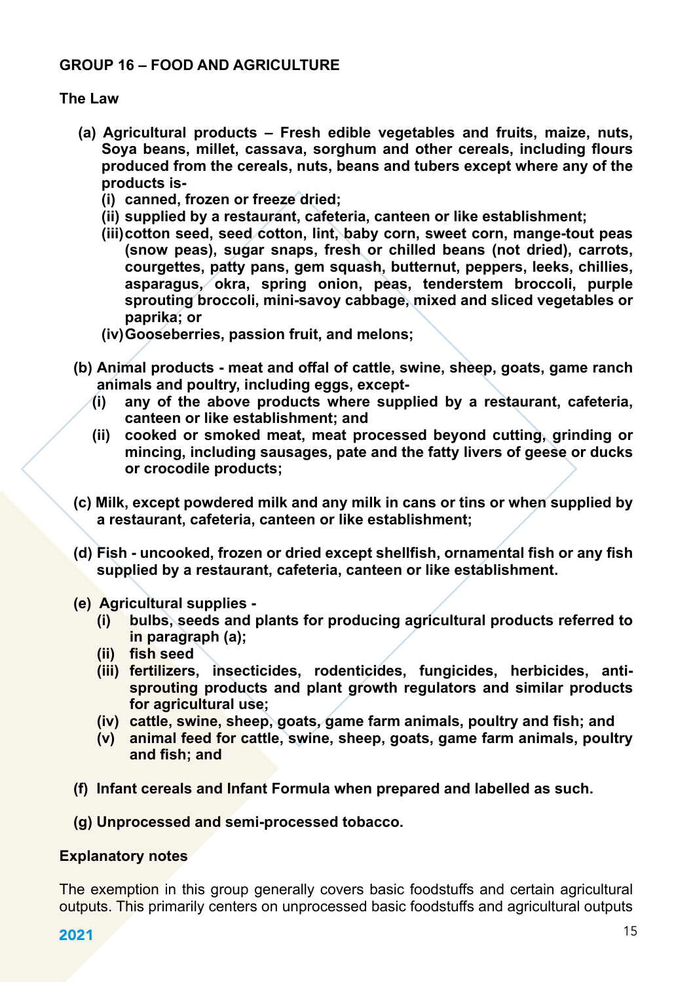## **GROUP 16 – FOOD AND AGRICULTURE**

#### **The Law**

- **(a) Agricultural products – Fresh edible vegetables and fruits, maize, nuts, Soya beans, millet, cassava, sorghum and other cereals, including flours produced from the cereals, nuts, beans and tubers except where any of the products is-**
	- **(i) canned, frozen or freeze dried;**
	- **(ii) supplied by a restaurant, cafeteria, canteen or like establishment;**
	- **(iii)cotton seed, seed cotton, lint, baby corn, sweet corn, mange-tout peas (snow peas), sugar snaps, fresh or chilled beans (not dried), carrots, courgettes, patty pans, gem squash, butternut, peppers, leeks, chillies, asparagus, okra, spring onion, peas, tenderstem broccoli, purple sprouting broccoli, mini-savoy cabbage, mixed and sliced vegetables or paprika; or**
	- **(iv)Gooseberries, passion fruit, and melons;**
- **(b) Animal products - meat and offal of cattle, swine, sheep, goats, game ranch animals and poultry, including eggs, except-**
	- **(i) any of the above products where supplied by a restaurant, cafeteria, canteen or like establishment; and**
	- **(ii) cooked or smoked meat, meat processed beyond cutting, grinding or mincing, including sausages, pate and the fatty livers of geese or ducks or crocodile products;**
- **(c) Milk, except powdered milk and any milk in cans or tins or when supplied by a restaurant, cafeteria, canteen or like establishment;**
- **(d) Fish - uncooked, frozen or dried except shellfish, ornamental fish or any fish supplied by a restaurant, cafeteria, canteen or like establishment.**
- **(e) Agricultural supplies -**
	- **(i) bulbs, seeds and plants for producing agricultural products referred to in paragraph (a);**
	- **(ii) fish seed**
	- **(iii) fertilizers, insecticides, rodenticides, fungicides, herbicides, antisprouting products and plant growth regulators and similar products for agricultural use;**
	- **(iv) cattle, swine, sheep, goats, game farm animals, poultry and fish; and**
	- **(v) animal feed for cattle, swine, sheep, goats, game farm animals, poultry and fish; and**
- **(f) Infant cereals and Infant Formula when prepared and labelled as such.**
- **(g) Unprocessed and semi-processed tobacco.**

#### **Explanatory notes**

The exemption in this group generally covers basic foodstuffs and certain agricultural outputs. This primarily centers on unprocessed basic foodstuffs and agricultural outputs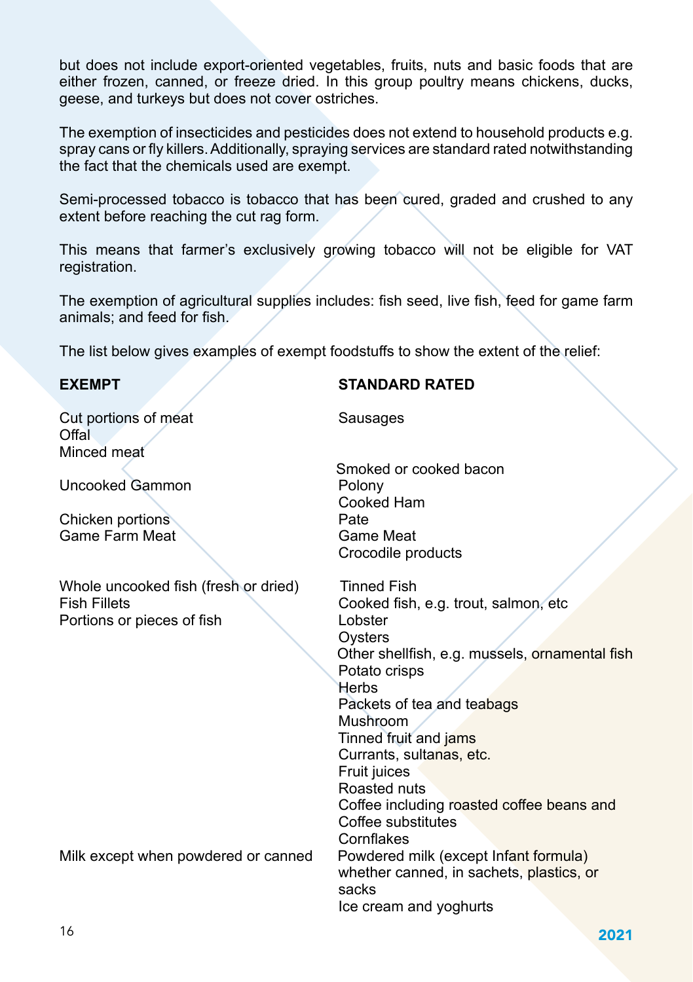but does not include export-oriented vegetables, fruits, nuts and basic foods that are either frozen, canned, or freeze dried. In this group poultry means chickens, ducks, geese, and turkeys but does not cover ostriches.

The exemption of insecticides and pesticides does not extend to household products e.g. spray cans or fly killers. Additionally, spraying services are standard rated notwithstanding the fact that the chemicals used are exempt.

Semi-processed tobacco is tobacco that has been cured, graded and crushed to any extent before reaching the cut rag form.

This means that farmer's exclusively growing tobacco will not be eligible for VAT registration.

The exemption of agricultural supplies includes: fish seed, live fish, feed for game farm animals; and feed for fish.

The list below gives examples of exempt foodstuffs to show the extent of the relief:

**Cut portions of meat** Sausages Offal Minced meat

Uncooked Gammon **Polony** 

Chicken portions<br>
Game Farm Meat<br>
Game Meat Game Farm Meat

Whole uncooked fish (fresh or dried) Tinned Fish Fish Fillets Cooked fish, e.g. trout, salmon, etc<br>
Portions or pieces of fish Lobster Lobster Portions or pieces of fish

Milk except when powdered or canned

#### **EXEMPT STANDARD RATED**

 Smoked or cooked bacon Cooked Ham Crocodile products

**Oysters**  Other shellfish, e.g. mussels, ornamental fish Potato crisps **Herbs**  Packets of tea and teabags Mushroom Tinned fruit and jams Currants, sultanas, etc. **Fruit juices**  Roasted nuts Coffee including roasted coffee beans and Coffee substitutes Cornflakes<br>Powdered milk (except Infant formula) whether canned, in sachets, plastics, or sacks Ice cream and yoghurts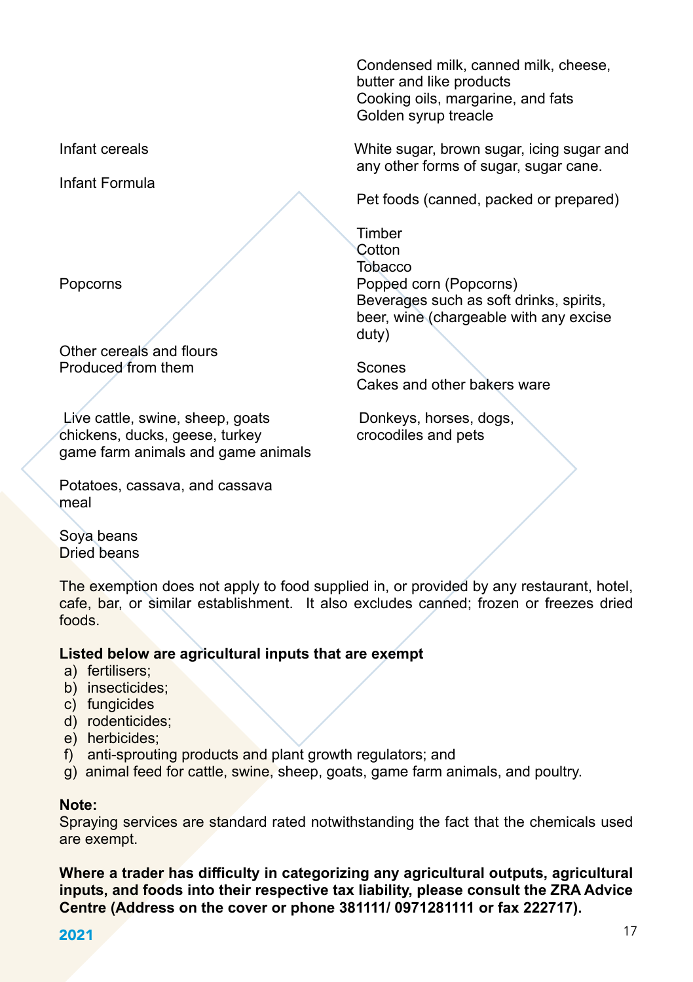Infant Formula

Other cereals and flours Produced from them Scones

Live cattle, swine, sheep, goats bookeys, horses, dogs, chickens, ducks, geese, turkey crocodiles and pets chickens, ducks, geese, turkey game farm animals and game animals

Potatoes, cassava, and cassava meal

Soya beans Dried beans

The exemption does not apply to food supplied in, or provided by any restaurant, hotel, cafe, bar, or similar establishment. It also excludes canned; frozen or freezes dried foods.

#### **Listed below are agricultural inputs that are exempt**

- a) fertilisers;
- b) insecticides;
- c) fungicides
- d) rodenticides;
- e) herbicides;
- f) anti-sprouting products and plant growth regulators; and
- g) animal feed for cattle, swine, sheep, goats, game farm animals, and poultry.

#### **Note:**

Spraying services are standard rated notwithstanding the fact that the chemicals used are exempt.

**Where a trader has difficulty in categorizing any agricultural outputs, agricultural inputs, and foods into their respective tax liability, please consult the ZRA Advice Centre (Address on the cover or phone 381111/ 0971281111 or fax 222717).**

**2021 17** 

Condensed milk, canned milk, cheese, butter and like products Cooking oils, margarine, and fats Golden syrup treacle

Infant cereals White sugar, brown sugar, icing sugar and any other forms of sugar, sugar cane.

Pet foods (canned, packed or prepared)

**Timber Cotton** <u>s a complete that the second second second second second second second second second second second second second</u> Popcorns Popped corn (Popcorns) Beverages such as soft drinks, spirits, beer, wine (chargeable with any excise duty) duty) and the state of the state of the state of the state of the state of the state of the state of the state of the state of the state of the state of the state of the state of the state of the state of the state of the

Cakes and other bakers ware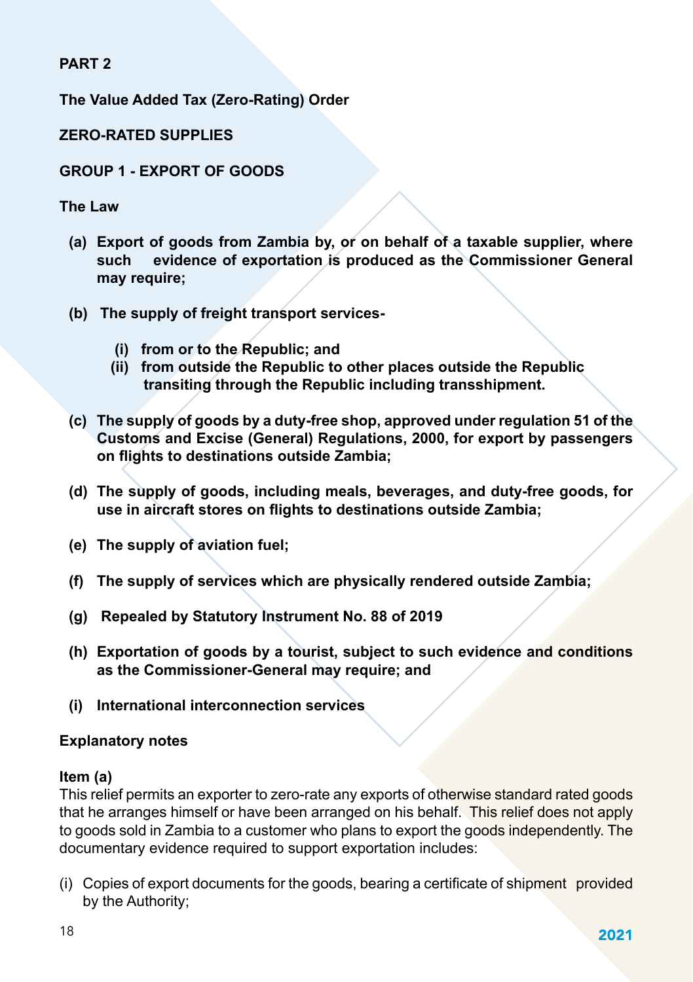**PART 2**

**The Value Added Tax (Zero-Rating) Order**

**ZERO-RATED SUPPLIES**

## **GROUP 1 - EXPORT OF GOODS**

**The Law**

- **(a) Export of goods from Zambia by, or on behalf of a taxable supplier, where such evidence of exportation is produced as the Commissioner General may require;**
- **(b) The supply of freight transport services-**
	- **(i) from or to the Republic; and**
	- **(ii) from outside the Republic to other places outside the Republic transiting through the Republic including transshipment.**
- **(c) The supply of goods by a duty-free shop, approved under regulation 51 of the Customs and Excise (General) Regulations, 2000, for export by passengers on flights to destinations outside Zambia;**
- **(d) The supply of goods, including meals, beverages, and duty-free goods, for use in aircraft stores on flights to destinations outside Zambia;**
- **(e) The supply of aviation fuel;**
- **(f) The supply of services which are physically rendered outside Zambia;**
- **(g) Repealed by Statutory Instrument No. 88 of 2019**
- **(h) Exportation of goods by a tourist, subject to such evidence and conditions as the Commissioner-General may require; and**
- **(i) International interconnection services**

## **Explanatory notes**

### **Item (a)**

This relief permits an exporter to zero-rate any exports of otherwise standard rated goods that he arranges himself or have been arranged on his behalf. This relief does not apply to goods sold in Zambia to a customer who plans to export the goods independently. The documentary evidence required to support exportation includes:

(i) Copies of export documents for the goods, bearing a certificate of shipment provided by the Authority;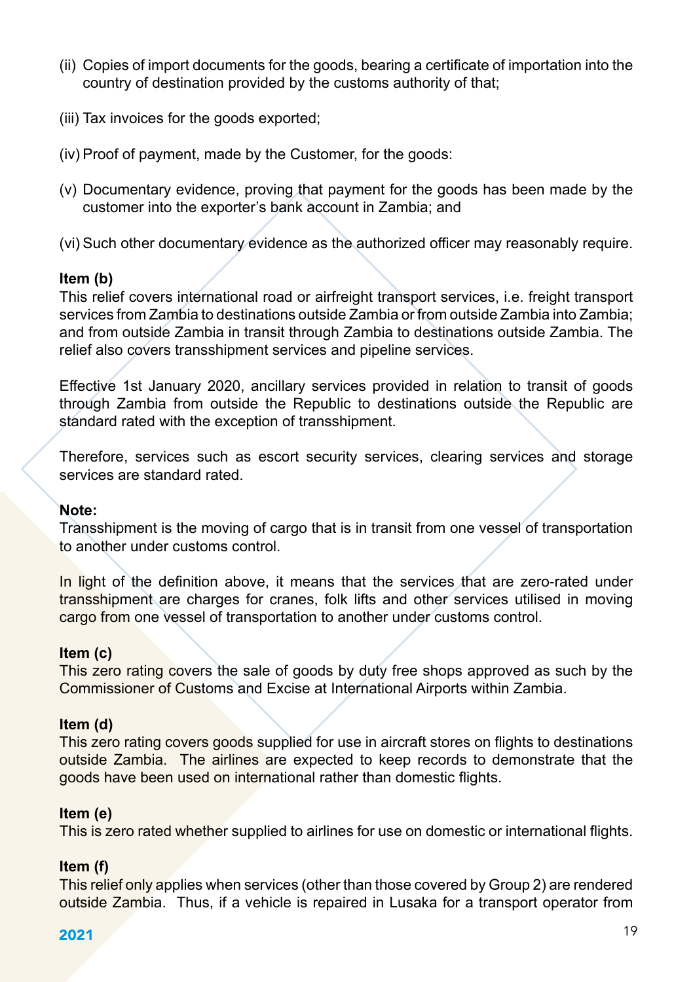- (ii) Copies of import documents for the goods, bearing a certificate of importation into the country of destination provided by the customs authority of that;
- (iii) Tax invoices for the goods exported;
- (iv) Proof of payment, made by the Customer, for the goods:
- (v) Documentary evidence, proving that payment for the goods has been made by the customer into the exporter's bank account in Zambia; and
- (vi) Such other documentary evidence as the authorized officer may reasonably require.

#### **Item (b)**

This relief covers international road or airfreight transport services, i.e. freight transport services from Zambia to destinations outside Zambia or from outside Zambia into Zambia; and from outside Zambia in transit through Zambia to destinations outside Zambia. The relief also covers transshipment services and pipeline services.

Effective 1st January 2020, ancillary services provided in relation to transit of goods through Zambia from outside the Republic to destinations outside the Republic are standard rated with the exception of transshipment.

Therefore, services such as escort security services, clearing services and storage services are standard rated.

#### **Note:**

Transshipment is the moving of cargo that is in transit from one vessel of transportation to another under customs control.

In light of the definition above, it means that the services that are zero-rated under transshipment are charges for cranes, folk lifts and other services utilised in moving cargo from one vessel of transportation to another under customs control.

### **Item (c)**

This zero rating covers the sale of goods by duty free shops approved as such by the Commissioner of Customs and Excise at International Airports within Zambia.

#### **Item (d)**

This zero rating covers goods supplied for use in aircraft stores on flights to destinations outside Zambia. The airlines are expected to keep records to demonstrate that the goods have been used on international rather than domestic flights.

### **Item (e)**

This is zero rated whether supplied to airlines for use on domestic or international flights.

### **Item (f)**

This relief only applies when services (other than those covered by Group 2) are rendered outside Zambia. Thus, if a vehicle is repaired in Lusaka for a transport operator from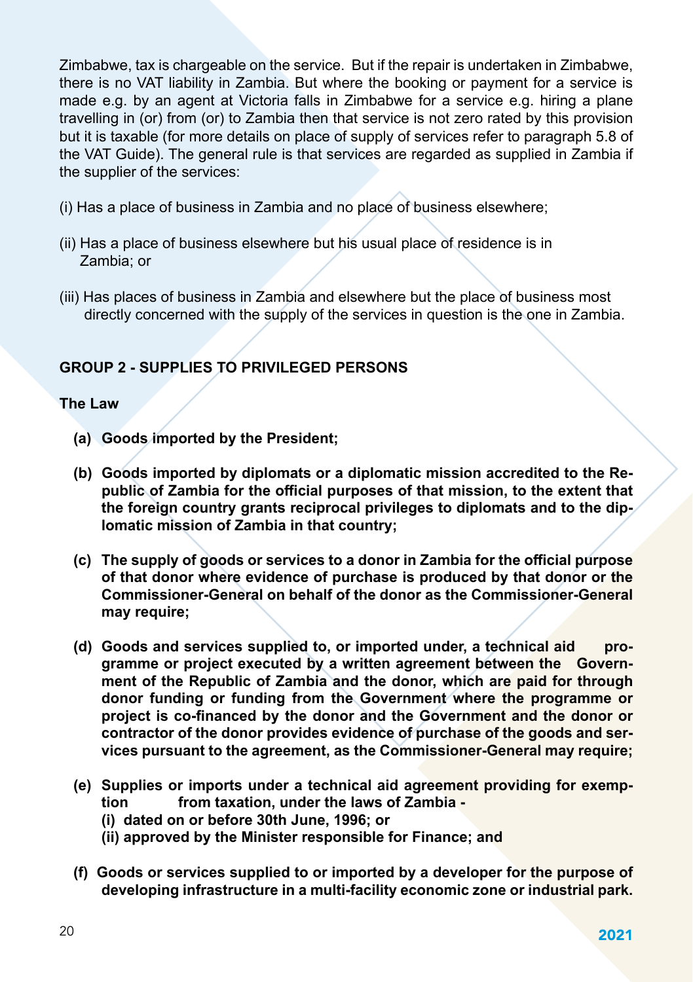Zimbabwe, tax is chargeable on the service. But if the repair is undertaken in Zimbabwe, there is no VAT liability in Zambia. But where the booking or payment for a service is made e.g. by an agent at Victoria falls in Zimbabwe for a service e.g. hiring a plane travelling in (or) from (or) to Zambia then that service is not zero rated by this provision but it is taxable (for more details on place of supply of services refer to paragraph 5.8 of the VAT Guide). The general rule is that services are regarded as supplied in Zambia if the supplier of the services:

- (i) Has a place of business in Zambia and no place of business elsewhere;
- (ii) Has a place of business elsewhere but his usual place of residence is in Zambia; or
- (iii) Has places of business in Zambia and elsewhere but the place of business most directly concerned with the supply of the services in question is the one in Zambia.

## **GROUP 2 - SUPPLIES TO PRIVILEGED PERSONS**

### **The Law**

- **(a) Goods imported by the President;**
- **(b) Goods imported by diplomats or a diplomatic mission accredited to the Republic of Zambia for the official purposes of that mission, to the extent that the foreign country grants reciprocal privileges to diplomats and to the diplomatic mission of Zambia in that country;**
- **(c) The supply of goods or services to a donor in Zambia for the official purpose of that donor where evidence of purchase is produced by that donor or the Commissioner-General on behalf of the donor as the Commissioner-General may require;**
- **(d) Goods and services supplied to, or imported under, a technical aid programme or project executed by a written agreement between the Government of the Republic of Zambia and the donor, which are paid for through donor funding or funding from the Government where the programme or project is co-financed by the donor and the Government and the donor or contractor of the donor provides evidence of purchase of the goods and services pursuant to the agreement, as the Commissioner-General may require;**
- **(e) Supplies or imports under a technical aid agreement providing for exemption from taxation, under the laws of Zambia -**
	- **(i) dated on or before 30th June, 1996; or**
	- **(ii) approved by the Minister responsible for Finance; and**
- **(f) Goods or services supplied to or imported by a developer for the purpose of developing infrastructure in a multi-facility economic zone or industrial park.**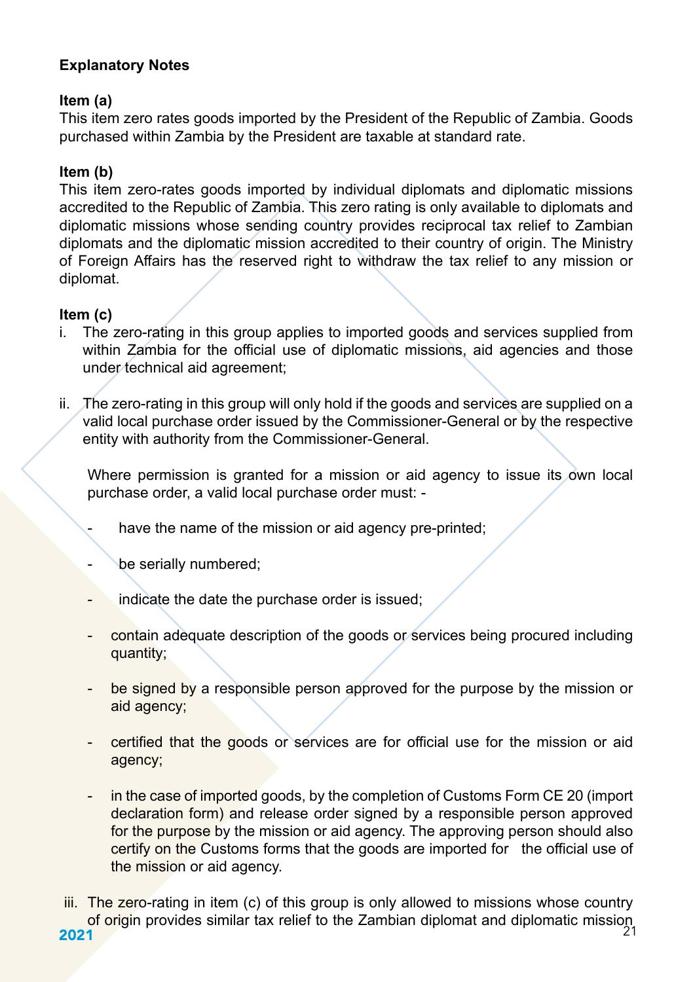## **Explanatory Notes**

#### **Item (a)**

This item zero rates goods imported by the President of the Republic of Zambia. Goods purchased within Zambia by the President are taxable at standard rate.

#### **Item (b)**

This item zero-rates goods imported by individual diplomats and diplomatic missions accredited to the Republic of Zambia. This zero rating is only available to diplomats and diplomatic missions whose sending country provides reciprocal tax relief to Zambian diplomats and the diplomatic mission accredited to their country of origin. The Ministry of Foreign Affairs has the reserved right to withdraw the tax relief to any mission or diplomat.

#### **Item (c)**

- i. The zero-rating in this group applies to imported goods and services supplied from within Zambia for the official use of diplomatic missions, aid agencies and those under technical aid agreement;
- ii. The zero-rating in this group will only hold if the goods and services are supplied on a valid local purchase order issued by the Commissioner-General or by the respective entity with authority from the Commissioner-General.

Where permission is granted for a mission or aid agency to issue its own local purchase order, a valid local purchase order must: -

- have the name of the mission or aid agency pre-printed:
- be serially numbered;
- indicate the date the purchase order is issued;
- contain adequate description of the goods or services being procured including quantity;
- be signed by a responsible person approved for the purpose by the mission or aid agency;
- certified that the goods or services are for official use for the mission or aid agency;
- in the case of imported goods, by the completion of Customs Form CE 20 (import declaration form) and release order signed by a responsible person approved for the purpose by the mission or aid agency. The approving person should also certify on the Customs forms that the goods are imported for the official use of the mission or aid agency.
- **2021** 2021 iii. The zero-rating in item (c) of this group is only allowed to missions whose country of origin provides similar tax relief to the Zambian diplomat and diplomatic mission<br>21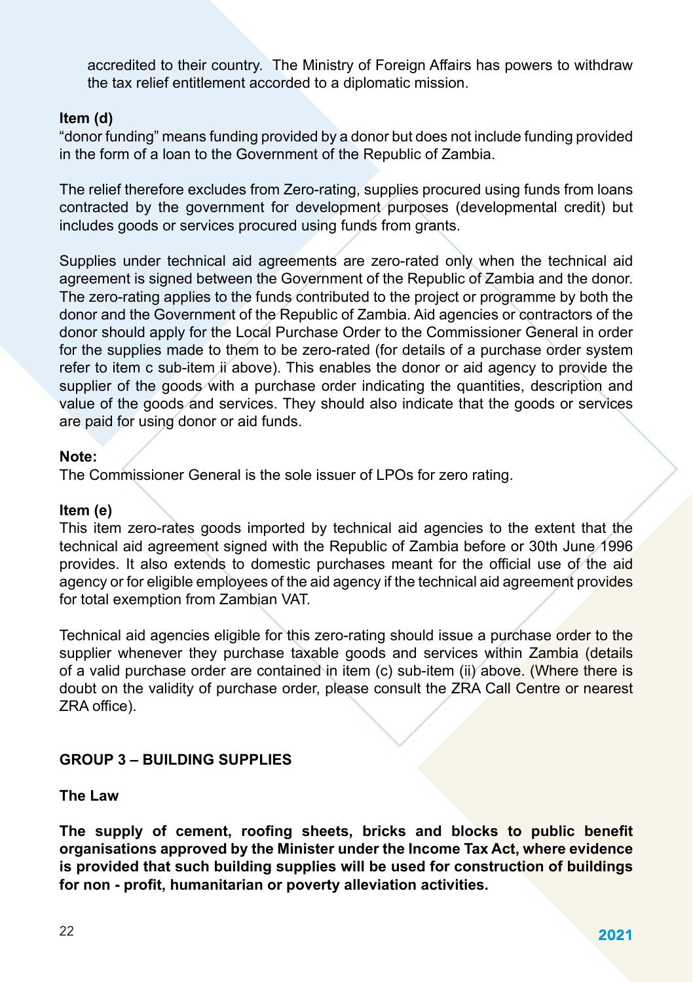accredited to their country. The Ministry of Foreign Affairs has powers to withdraw the tax relief entitlement accorded to a diplomatic mission.

#### **Item (d)**

"donor funding" means funding provided by a donor but does not include funding provided in the form of a loan to the Government of the Republic of Zambia.

The relief therefore excludes from Zero-rating, supplies procured using funds from loans contracted by the government for development purposes (developmental credit) but includes goods or services procured using funds from grants.

Supplies under technical aid agreements are zero-rated only when the technical aid agreement is signed between the Government of the Republic of Zambia and the donor. The zero-rating applies to the funds contributed to the project or programme by both the donor and the Government of the Republic of Zambia. Aid agencies or contractors of the donor should apply for the Local Purchase Order to the Commissioner General in order for the supplies made to them to be zero-rated (for details of a purchase order system refer to item c sub-item ii above). This enables the donor or aid agency to provide the supplier of the goods with a purchase order indicating the quantities, description and value of the goods and services. They should also indicate that the goods or services are paid for using donor or aid funds.

#### **Note:**

The Commissioner General is the sole issuer of LPOs for zero rating.

#### **Item (e)**

This item zero-rates goods imported by technical aid agencies to the extent that the technical aid agreement signed with the Republic of Zambia before or 30th June 1996 provides. It also extends to domestic purchases meant for the official use of the aid agency or for eligible employees of the aid agency if the technical aid agreement provides for total exemption from Zambian VAT.

Technical aid agencies eligible for this zero-rating should issue a purchase order to the supplier whenever they purchase taxable goods and services within Zambia (details of a valid purchase order are contained in item (c) sub-item (ii) above. (Where there is doubt on the validity of purchase order, please consult the ZRA Call Centre or nearest ZRA office).

### **GROUP 3 – BUILDING SUPPLIES**

**The Law**

**The supply of cement, roofing sheets, bricks and blocks to public benefit organisations approved by the Minister under the Income Tax Act, where evidence is provided that such building supplies will be used for construction of buildings for non - profit, humanitarian or poverty alleviation activities.**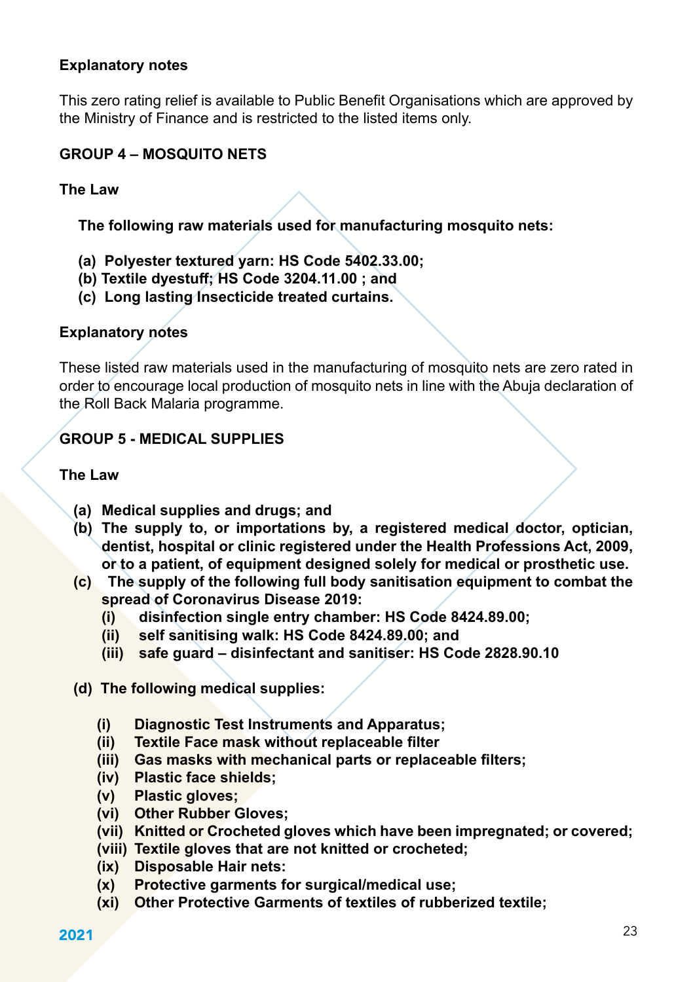#### **Explanatory notes**

This zero rating relief is available to Public Benefit Organisations which are approved by the Ministry of Finance and is restricted to the listed items only.

#### **GROUP 4 – MOSQUITO NETS**

#### **The Law**

**The following raw materials used for manufacturing mosquito nets:**

- **(a) Polyester textured yarn: HS Code 5402.33.00;**
- **(b) Textile dyestuff; HS Code 3204.11.00 ; and**
- **(c) Long lasting Insecticide treated curtains.**

#### **Explanatory notes**

These listed raw materials used in the manufacturing of mosquito nets are zero rated in order to encourage local production of mosquito nets in line with the Abuja declaration of the Roll Back Malaria programme.

### **GROUP 5 - MEDICAL SUPPLIES**

#### **The Law**

- **(a) Medical supplies and drugs; and**
- **(b) The supply to, or importations by, a registered medical doctor, optician, dentist, hospital or clinic registered under the Health Professions Act, 2009, or to a patient, of equipment designed solely for medical or prosthetic use.**
- **(c) The supply of the following full body sanitisation equipment to combat the spread of Coronavirus Disease 2019:**
	- **(i) disinfection single entry chamber: HS Code 8424.89.00;**
	- **(ii) self sanitising walk: HS Code 8424.89.00; and**
	- **(iii) safe guard disinfectant and sanitiser: HS Code 2828.90.10**
- **(d) The following medical supplies:**
	- **(i) Diagnostic Test Instruments and Apparatus;**
	- **(ii) Textile Face mask without replaceable filter**
	- **(iii) Gas masks with mechanical parts or replaceable filters;**
	- **(iv) Plastic face shields;**
	- **(v) Plastic gloves;**
	- **(vi) Other Rubber Gloves;**
	- **(vii) Knitted or Crocheted gloves which have been impregnated; or covered;**
	- **(viii) Textile gloves that are not knitted or crocheted;**
	- **(ix) Disposable Hair nets:**
	- **(x) Protective garments for surgical/medical use;**
	- **(xi) Other Protective Garments of textiles of rubberized textile;**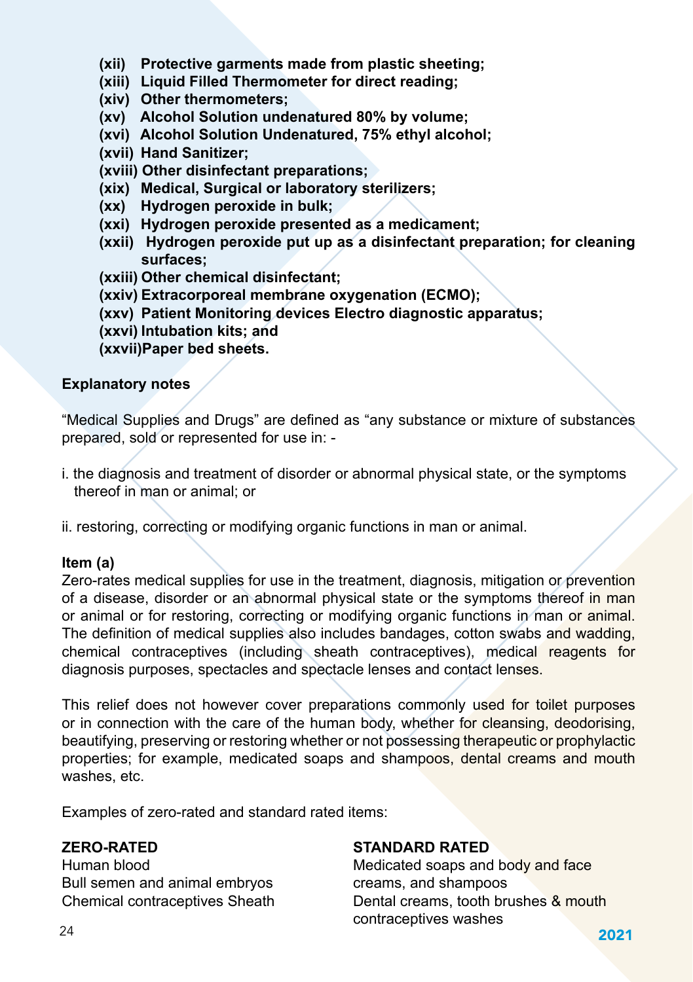- **(xii) Protective garments made from plastic sheeting;**
- **(xiii) Liquid Filled Thermometer for direct reading;**
- **(xiv) Other thermometers;**
- **(xv) Alcohol Solution undenatured 80% by volume;**
- **(xvi) Alcohol Solution Undenatured, 75% ethyl alcohol;**
- **(xvii) Hand Sanitizer;**
- **(xviii) Other disinfectant preparations;**
- **(xix) Medical, Surgical or laboratory sterilizers;**
- **(xx) Hydrogen peroxide in bulk;**
- **(xxi) Hydrogen peroxide presented as a medicament;**
- **(xxii) Hydrogen peroxide put up as a disinfectant preparation; for cleaning surfaces;**
- **(xxiii) Other chemical disinfectant;**
- **(xxiv) Extracorporeal membrane oxygenation (ECMO);**
- **(xxv) Patient Monitoring devices Electro diagnostic apparatus;**
- **(xxvi) Intubation kits; and**

**(xxvii)Paper bed sheets.**

#### **Explanatory notes**

"Medical Supplies and Drugs" are defined as "any substance or mixture of substances prepared, sold or represented for use in: -

i. the diagnosis and treatment of disorder or abnormal physical state, or the symptoms thereof in man or animal; or

ii. restoring, correcting or modifying organic functions in man or animal.

### **Item (a)**

Zero-rates medical supplies for use in the treatment, diagnosis, mitigation or prevention of a disease, disorder or an abnormal physical state or the symptoms thereof in man or animal or for restoring, correcting or modifying organic functions in man or animal. The definition of medical supplies also includes bandages, cotton swabs and wadding, chemical contraceptives (including sheath contraceptives), medical reagents for diagnosis purposes, spectacles and spectacle lenses and contact lenses.

This relief does not however cover preparations commonly used for toilet purposes or in connection with the care of the human body, whether for cleansing, deodorising, beautifying, preserving or restoring whether or not possessing therapeutic or prophylactic properties; for example, medicated soaps and shampoos, dental creams and mouth washes, etc.

Examples of zero-rated and standard rated items:

Bull semen and animal embryos creams, and shampoos

### **ZERO-RATED** STANDARD RATED

 $2021$ Human blood **Medicated soaps and body and face** Chemical contraceptives Sheath Dental creams, tooth brushes & mouth contraceptives washes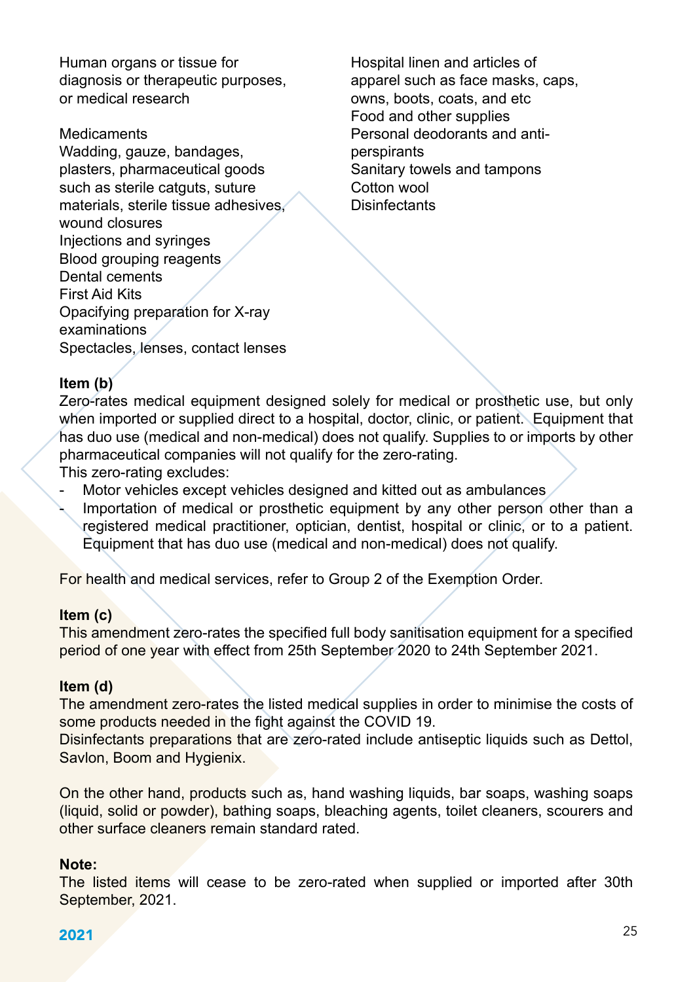Human organs or tissue for example Hospital linen and articles of<br>diagnosis or therapeutic purposes. The apparel such as face masks. diagnosis or therapeutic purposes, apparel such as face masks, caps,<br>or medical research owns, boots, coats, and etc.

Wadding, gauze, bandages, entitled perspirants<br>
plasters, pharmaceutical goods entitled Sanitary towels and tampons plasters, pharmaceutical goods such as sterile catguts, suture Cotton wool<br>materials sterile tissue adhesives Clisinfectants materials, sterile tissue adhesives. wound closures Injections and syringes Blood grouping reagents Dental cements First Aid Kits Opacifying preparation for X-ray examinations Spectacles, lenses, contact lenses

owns, boots, coats, and etc Food and other supplies<br>Medicaments **Examples** Personal deodorants and Personal deodorants and anti-<br>perspirants

## **Item (b)**

Zero-rates medical equipment designed solely for medical or prosthetic use, but only when imported or supplied direct to a hospital, doctor, clinic, or patient. Equipment that has duo use (medical and non-medical) does not qualify. Supplies to or imports by other pharmaceutical companies will not qualify for the zero-rating.

This zero-rating excludes:

- Motor vehicles except vehicles designed and kitted out as ambulances
- Importation of medical or prosthetic equipment by any other person other than a registered medical practitioner, optician, dentist, hospital or clinic, or to a patient. Equipment that has duo use (medical and non-medical) does not qualify.

For health and medical services, refer to Group 2 of the Exemption Order.

### **Item (c)**

This amendment zero-rates the specified full body sanitisation equipment for a specified period of one year with effect from 25th September 2020 to 24th September 2021.

#### **Item (d)**

The amendment zero-rates the listed medical supplies in order to minimise the costs of some products needed in the fight against the COVID 19.

Disinfectants preparations that are zero-rated include antiseptic liquids such as Dettol, Savlon, Boom and Hygienix.

On the other hand, products such as, hand washing liquids, bar soaps, washing soaps (liquid, solid or powder), bathing soaps, bleaching agents, toilet cleaners, scourers and other surface cleaners remain standard rated.

#### **Note:**

The listed items will cease to be zero-rated when supplied or imported after 30th September, 2021.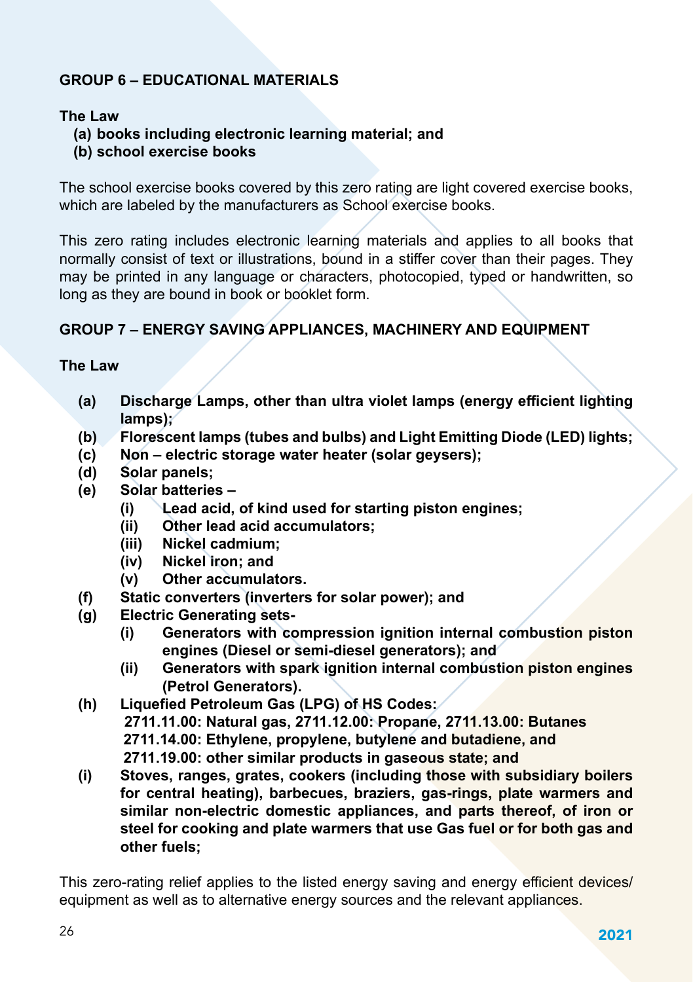## **GROUP 6 – EDUCATIONAL MATERIALS**

#### **The Law**

- **(a) books including electronic learning material; and**
- **(b) school exercise books**

The school exercise books covered by this zero rating are light covered exercise books, which are labeled by the manufacturers as School exercise books.

This zero rating includes electronic learning materials and applies to all books that normally consist of text or illustrations, bound in a stiffer cover than their pages. They may be printed in any language or characters, photocopied, typed or handwritten, so long as they are bound in book or booklet form.

## **GROUP 7 – ENERGY SAVING APPLIANCES, MACHINERY AND EQUIPMENT**

#### **The Law**

- **(a) Discharge Lamps, other than ultra violet lamps (energy efficient lighting lamps);**
- **(b) Florescent lamps (tubes and bulbs) and Light Emitting Diode (LED) lights;**
- **(c) Non electric storage water heater (solar geysers);**
- **(d) Solar panels;**
- **(e) Solar batteries –**
	- **(i) Lead acid, of kind used for starting piston engines;**
	- **(ii) Other lead acid accumulators;**
	- **(iii) Nickel cadmium;**
	- **(iv) Nickel iron; and**
	- **(v) Other accumulators.**
- **(f) Static converters (inverters for solar power); and**
- **(g) Electric Generating sets-**
	- **(i) Generators with compression ignition internal combustion piston engines (Diesel or semi-diesel generators); and**
	- **(ii) Generators with spark ignition internal combustion piston engines (Petrol Generators).**
- **(h) Liquefied Petroleum Gas (LPG) of HS Codes: 2711.11.00: Natural gas, 2711.12.00: Propane, 2711.13.00: Butanes 2711.14.00: Ethylene, propylene, butylene and butadiene, and 2711.19.00: other similar products in gaseous state; and**
- **(i) Stoves, ranges, grates, cookers (including those with subsidiary boilers for central heating), barbecues, braziers, gas-rings, plate warmers and similar non-electric domestic appliances, and parts thereof, of iron or steel for cooking and plate warmers that use Gas fuel or for both gas and other fuels;**

This zero-rating relief applies to the listed energy saving and energy efficient devices/ equipment as well as to alternative energy sources and the relevant appliances.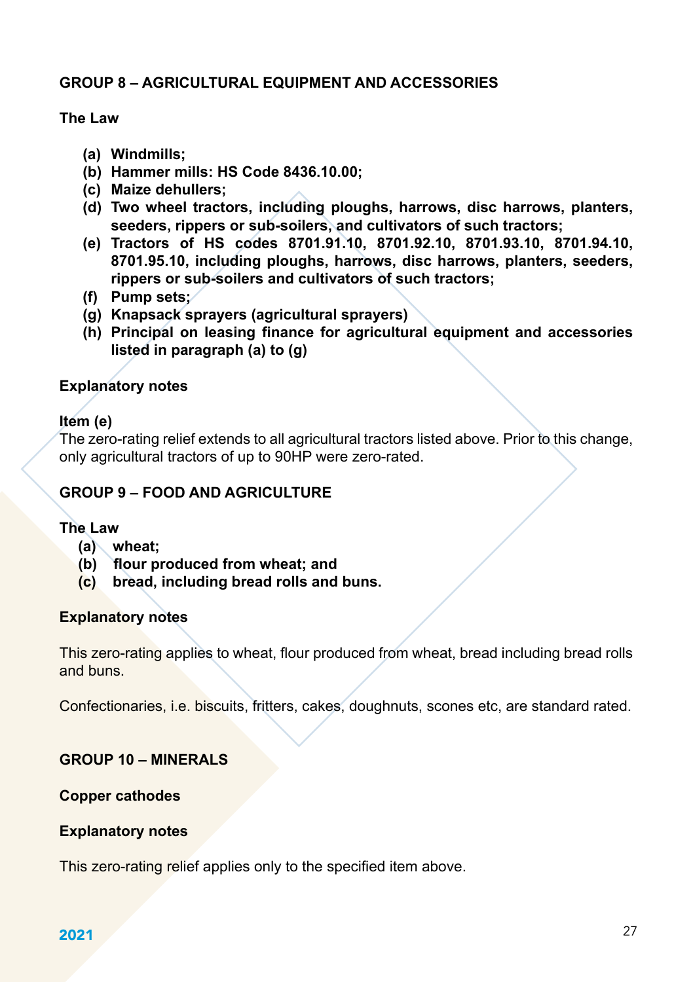#### **GROUP 8 – AGRICULTURAL EQUIPMENT AND ACCESSORIES**

#### **The Law**

- **(a) Windmills;**
- **(b) Hammer mills: HS Code 8436.10.00;**
- **(c) Maize dehullers;**
- **(d) Two wheel tractors, including ploughs, harrows, disc harrows, planters, seeders, rippers or sub-soilers, and cultivators of such tractors;**
- **(e) Tractors of HS codes 8701.91.10, 8701.92.10, 8701.93.10, 8701.94.10, 8701.95.10, including ploughs, harrows, disc harrows, planters, seeders, rippers or sub-soilers and cultivators of such tractors;**
- **(f) Pump sets;**
- **(g) Knapsack sprayers (agricultural sprayers)**
- **(h) Principal on leasing finance for agricultural equipment and accessories listed in paragraph (a) to (g)**

#### **Explanatory notes**

#### **Item (e)**

The zero-rating relief extends to all agricultural tractors listed above. Prior to this change, only agricultural tractors of up to 90HP were zero-rated.

### **GROUP 9 – FOOD AND AGRICULTURE**

#### **The Law**

- **(a) wheat;**
- **(b) flour produced from wheat; and**
- **(c) bread, including bread rolls and buns.**

#### **Explanatory notes**

This zero-rating applies to wheat, flour produced from wheat, bread including bread rolls and buns.

Confectionaries, i.e. biscuits, fritters, cakes, doughnuts, scones etc, are standard rated.

#### **GROUP 10 – MINERALS**

#### **Copper cathodes**

#### **Explanatory notes**

This zero-rating relief applies only to the specified item above.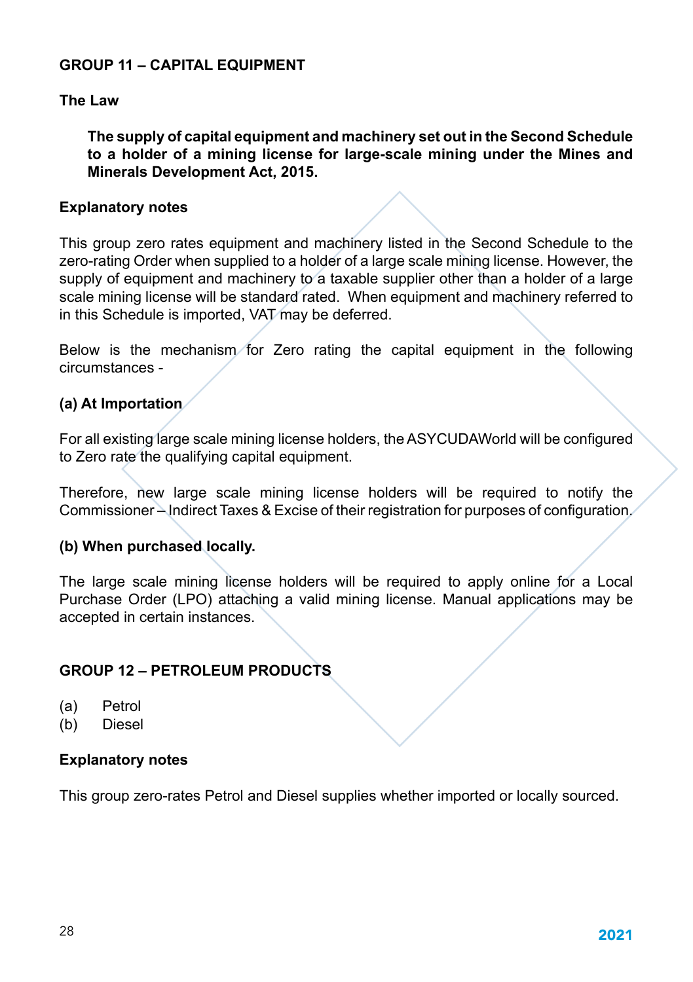#### **GROUP 11 – CAPITAL EQUIPMENT**

#### **The Law**

**The supply of capital equipment and machinery set out in the Second Schedule to a holder of a mining license for large-scale mining under the Mines and Minerals Development Act, 2015.**

#### **Explanatory notes**

This group zero rates equipment and machinery listed in the Second Schedule to the zero-rating Order when supplied to a holder of a large scale mining license. However, the supply of equipment and machinery to a taxable supplier other than a holder of a large scale mining license will be standard rated. When equipment and machinery referred to in this Schedule is imported, VAT may be deferred.

Below is the mechanism for Zero rating the capital equipment in the following circumstances -

### **(a) At Importation**

For all existing large scale mining license holders, the ASYCUDAWorld will be configured to Zero rate the qualifying capital equipment.

Therefore, new large scale mining license holders will be required to notify the Commissioner – Indirect Taxes & Excise of their registration for purposes of configuration.

#### **(b) When purchased locally.**

The large scale mining license holders will be required to apply online for a Local Purchase Order (LPO) attaching a valid mining license. Manual applications may be accepted in certain instances.

## **GROUP 12 – PETROLEUM PRODUCTS**

- (a) Petrol
- (b) Diesel

### **Explanatory notes**

This group zero-rates Petrol and Diesel supplies whether imported or locally sourced.